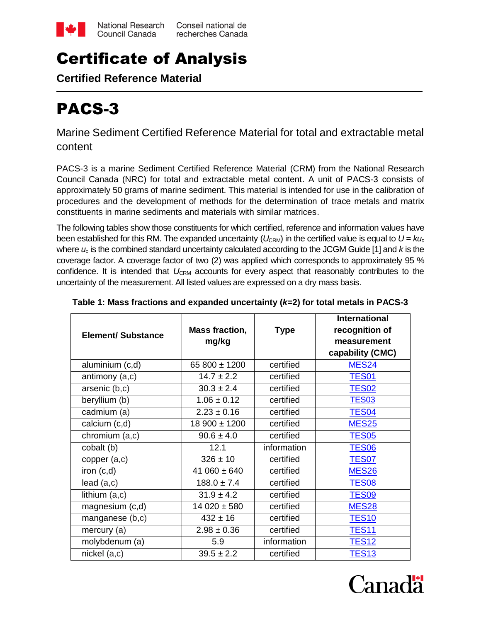

# Certificate of Analysis

**Certified Reference Material**

# PACS-3

Marine Sediment Certified Reference Material for total and extractable metal content

PACS-3 is a marine Sediment Certified Reference Material (CRM) from the National Research Council Canada (NRC) for total and extractable metal content. A unit of PACS-3 consists of approximately 50 grams of marine sediment. This material is intended for use in the calibration of procedures and the development of methods for the determination of trace metals and matrix constituents in marine sediments and materials with similar matrices.

The following tables show those constituents for which certified, reference and information values have been established for this RM. The expanded uncertainty ( $U_{\text{CRM}}$ ) in the certified value is equal to  $U = k u_c$ where *u*<sup>c</sup> is the combined standard uncertainty calculated according to the JCGM Guide [1] and *k* is the coverage factor. A coverage factor of two (2) was applied which corresponds to approximately 95 % confidence. It is intended that U<sub>CRM</sub> accounts for every aspect that reasonably contributes to the uncertainty of the measurement. All listed values are expressed on a dry mass basis.

| <b>Element/ Substance</b> | Mass fraction,<br>mg/kg | <b>Type</b> | <b>International</b><br>recognition of<br>measurement<br>capability (CMC) |
|---------------------------|-------------------------|-------------|---------------------------------------------------------------------------|
| aluminium (c,d)           | 65 800 ± 1200           | certified   | <b>MES24</b>                                                              |
| antimony $(a, c)$         | $14.7 \pm 2.2$          | certified   | <b>TES01</b>                                                              |
| arsenic (b,c)             | $30.3 \pm 2.4$          | certified   | <b>TES02</b>                                                              |
| beryllium (b)             | $1.06 \pm 0.12$         | certified   | <b>TES03</b>                                                              |
| cadmium (a)               | $2.23 \pm 0.16$         | certified   | <b>TES04</b>                                                              |
| calcium (c,d)             | 18 900 ± 1200           | certified   | <b>MES25</b>                                                              |
| chromium (a,c)            | $90.6 \pm 4.0$          | certified   | <b>TES05</b>                                                              |
| cobalt (b)                | 12.1                    | information | TES <sub>06</sub>                                                         |
| copper $(a, c)$           | $326 \pm 10$            | certified   | <b>TES07</b>                                                              |
| iron (c,d)                | 41 060 $\pm$ 640        | certified   | <b>MES26</b>                                                              |
| lead(a,c)                 | $188.0 \pm 7.4$         | certified   | <b>TES08</b>                                                              |
| lithium $(a, c)$          | $31.9 \pm 4.2$          | certified   | <b>TES09</b>                                                              |
| magnesium (c,d)           | $14020 \pm 580$         | certified   | <b>MES28</b>                                                              |
| manganese (b,c)           | $432 \pm 16$            | certified   | <b>TES10</b>                                                              |
| mercury (a)               | $2.98 \pm 0.36$         | certified   | <b>TES11</b>                                                              |
| molybdenum (a)            | 5.9                     | information | <b>TES12</b>                                                              |
| $nickel$ $(a, c)$         | $39.5 \pm 2.2$          | certified   | <b>TES13</b>                                                              |

# **Table 1: Mass fractions and expanded uncertainty (***k***=2) for total metals in PACS-3**

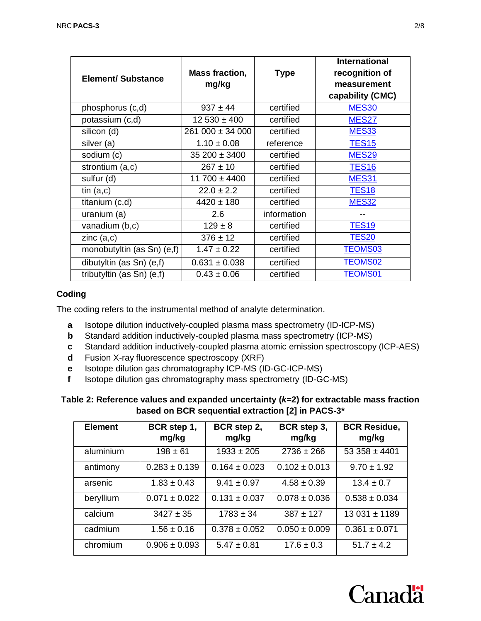| <b>Element/ Substance</b>  | <b>Mass fraction,</b><br>mg/kg | <b>Type</b> | <b>International</b><br>recognition of<br>measurement<br>capability (CMC) |
|----------------------------|--------------------------------|-------------|---------------------------------------------------------------------------|
| phosphorus (c,d)           | $937 \pm 44$                   | certified   | <b>MES30</b>                                                              |
| potassium (c,d)            | $12530 \pm 400$                | certified   | <b>MES27</b>                                                              |
| silicon (d)                | $261000 \pm 34000$             | certified   | <b>MES33</b>                                                              |
| silver (a)                 | $1.10 \pm 0.08$                | reference   | <b>TES15</b>                                                              |
| sodium (c)                 | $35200 \pm 3400$               | certified   | <b>MES29</b>                                                              |
| strontium (a,c)            | $267 \pm 10$                   | certified   | <b>TES16</b>                                                              |
| sulfur (d)                 | $11700 \pm 4400$               | certified   | <b>MES31</b>                                                              |
| tin $(a, c)$               | $22.0 \pm 2.2$                 | certified   | <b>TES18</b>                                                              |
| titanium (c,d)             | $4420 \pm 180$                 | certified   | <b>MES32</b>                                                              |
| uranium (a)                | 2.6                            | information |                                                                           |
| vanadium $(b, c)$          | $129 \pm 8$                    | certified   | <b>TES19</b>                                                              |
| zinc(a,c)                  | $376 \pm 12$                   | certified   | <b>TES20</b>                                                              |
| monobutyltin (as Sn) (e,f) | $1.47 \pm 0.22$                | certified   | <b>TEOMS03</b>                                                            |
| dibutyltin (as Sn) (e,f)   | $0.631 \pm 0.038$              | certified   | <b>TEOMS02</b>                                                            |
| tributyltin (as Sn) (e,f)  | $0.43 \pm 0.06$                | certified   | <b>TEOMS01</b>                                                            |

# **Coding**

The coding refers to the instrumental method of analyte determination.

- **a** Isotope dilution inductively-coupled plasma mass spectrometry (ID-ICP-MS)
- **b** Standard addition inductively-coupled plasma mass spectrometry (ICP-MS)
- **c** Standard addition inductively-coupled plasma atomic emission spectroscopy (ICP-AES)
- **d** Fusion X-ray fluorescence spectroscopy (XRF)
- **e** Isotope dilution gas chromatography ICP-MS (ID-GC-ICP-MS)
- **f** Isotope dilution gas chromatography mass spectrometry (ID-GC-MS)

| Table 2: Reference values and expanded uncertainty $(k=2)$ for extractable mass fraction |
|------------------------------------------------------------------------------------------|
| based on BCR sequential extraction [2] in PACS-3*                                        |

| <b>Element</b> | BCR step 1,<br>mg/kg | BCR step 2,<br>mg/kg | BCR step 3,<br>mg/kg | <b>BCR Residue,</b><br>mg/kg |
|----------------|----------------------|----------------------|----------------------|------------------------------|
| aluminium      | $198 \pm 61$         | $1933 \pm 205$       | $2736 \pm 266$       | $53358 \pm 4401$             |
| antimony       | $0.283 \pm 0.139$    | $0.164 \pm 0.023$    | $0.102 \pm 0.013$    | $9.70 \pm 1.92$              |
| arsenic        | $1.83 \pm 0.43$      | $9.41 \pm 0.97$      | $4.58 \pm 0.39$      | $13.4 \pm 0.7$               |
| beryllium      | $0.071 \pm 0.022$    | $0.131 \pm 0.037$    | $0.078 \pm 0.036$    | $0.538 \pm 0.034$            |
| calcium        | $3427 \pm 35$        | $1783 \pm 34$        | $387 + 127$          | $13031 \pm 1189$             |
| cadmium        | $1.56 \pm 0.16$      | $0.378 \pm 0.052$    | $0.050 \pm 0.009$    | $0.361 \pm 0.071$            |
| chromium       | $0.906 \pm 0.093$    | $5.47 \pm 0.81$      | $17.6 \pm 0.3$       | $51.7 \pm 4.2$               |



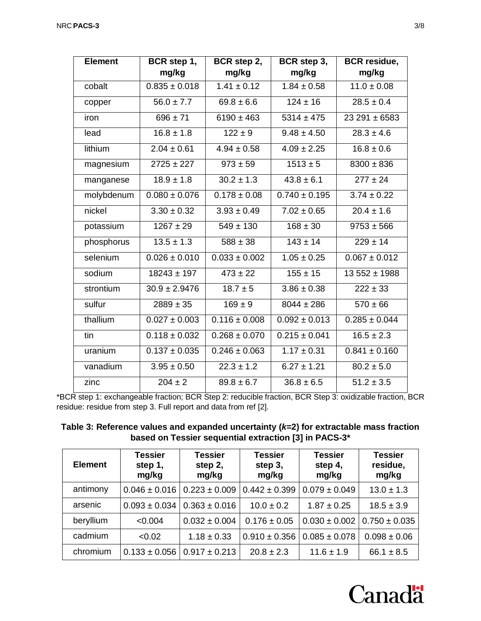| <b>Element</b> | BCR step 1,<br>mg/kg | BCR step 2,<br>mg/kg | BCR step 3,<br>mg/kg      | <b>BCR</b> residue,<br>mg/kg |
|----------------|----------------------|----------------------|---------------------------|------------------------------|
| cobalt         | $0.835 \pm 0.018$    | $1.41 \pm 0.12$      | $1.84 \pm 0.58$           | $11.0 \pm 0.08$              |
| copper         | $56.0 \pm 7.7$       | $69.8 \pm 6.6$       | $124 \pm 16$              | $28.5 \pm 0.4$               |
| iron           | $696 \pm 71$         | $6190 \pm 463$       | $5314 \pm 475$            | $23291 \pm 6583$             |
| lead           | $16.8 \pm 1.8$       | $122 \pm 9$          | $9.48 \pm 4.50$           | $28.3 \pm 4.6$               |
| lithium        | $2.04 \pm 0.61$      | $4.94 \pm 0.58$      | $\frac{4.09 \pm 2.25}{ }$ | $16.8 \pm 0.6$               |
| magnesium      | $2725 \pm 227$       | $973 \pm 59$         | $1513 \pm 5$              | $8300 \pm 836$               |
| manganese      | $18.9 \pm 1.8$       | $30.2 \pm 1.3$       | $43.8 \pm 6.1$            | $277 \pm 24$                 |
| molybdenum     | $0.080 \pm 0.076$    | $0.178 \pm 0.08$     | $0.740 \pm 0.195$         | $3.74 \pm 0.22$              |
| nickel         | $3.30 \pm 0.32$      | $3.93 \pm 0.49$      | $7.02 \pm 0.65$           | $20.4 \pm 1.6$               |
| potassium      | $1267 \pm 29$        | $549 \pm 130$        | $168 \pm 30$              | $9753 \pm 566$               |
| phosphorus     | $13.5 \pm 1.3$       | $588 \pm 38$         | $143 \pm 14$              | $229 \pm 14$                 |
| selenium       | $0.026 \pm 0.010$    | $0.033 \pm 0.002$    | $1.05 \pm 0.25$           | $0.067 \pm 0.012$            |
| sodium         | $18243 \pm 197$      | $473 \pm 22$         | $155 \pm 15$              | $13552 \pm 1988$             |
| strontium      | $30.9 \pm 2.9476$    | $18.7 \pm 5$         | $3.86 \pm 0.38$           | $222 \pm 33$                 |
| sulfur         | $2889 \pm 35$        | $169 \pm 9$          | $8044 \pm 286$            | $570 \pm 66$                 |
| thallium       | $0.027 \pm 0.003$    | $0.116 \pm 0.008$    | $0.092 \pm 0.013$         | $0.285 \pm 0.044$            |
| tin            | $0.118 \pm 0.032$    | $0.268 \pm 0.070$    | $0.215 \pm 0.041$         | $16.5 \pm 2.3$               |
| uranium        | $0.137 \pm 0.035$    | $0.246 \pm 0.063$    | $1.17 \pm 0.31$           | $0.841 \pm 0.160$            |
| vanadium       | $3.95 \pm 0.50$      | $22.3 \pm 1.2$       | $6.27 \pm 1.21$           | $\overline{80.2}$ ± 5.0      |
| zinc           | $204 \pm 2$          | $89.8 \pm 6.7$       | $36.8 \pm 6.5$            | $51.2 \pm 3.5$               |

\*BCR step 1: exchangeable fraction; BCR Step 2: reducible fraction, BCR Step 3: oxidizable fraction, BCR residue: residue from step 3. Full report and data from ref [2].

| Table 3: Reference values and expanded uncertainty ( $k=2$ ) for extractable mass fraction |
|--------------------------------------------------------------------------------------------|
| based on Tessier sequential extraction [3] in PACS-3*                                      |

| <b>Element</b> | <b>Tessier</b><br>step 1,<br>mg/kg | <b>Tessier</b><br>step 2,<br>mg/kg | <b>Tessier</b><br>step 3,<br>mg/kg | <b>Tessier</b><br>step 4,<br>mg/kg | <b>Tessier</b><br>residue,<br>mg/kg |
|----------------|------------------------------------|------------------------------------|------------------------------------|------------------------------------|-------------------------------------|
| antimony       | $0.046 \pm 0.016$                  | $0.223 \pm 0.009$                  | $0.442 \pm 0.399$                  | $0.079 \pm 0.049$                  | $13.0 \pm 1.3$                      |
| arsenic        | $0.093 \pm 0.034$                  | $0.363 \pm 0.016$                  | $10.0 \pm 0.2$                     | $1.87 \pm 0.25$                    | $18.5 \pm 3.9$                      |
| beryllium      | < 0.004                            | $0.032 \pm 0.004$                  | $0.176 \pm 0.05$                   | $0.030 \pm 0.002$                  | $0.750 \pm 0.035$                   |
| cadmium        | < 0.02                             | $1.18 \pm 0.33$                    | $0.910 \pm 0.356$                  | $0.085 \pm 0.078$                  | $0.098 \pm 0.06$                    |
| chromium       | $0.133 \pm 0.056$                  | $0.917 \pm 0.213$                  | $20.8 \pm 2.3$                     | $11.6 \pm 1.9$                     | $66.1 \pm 8.5$                      |

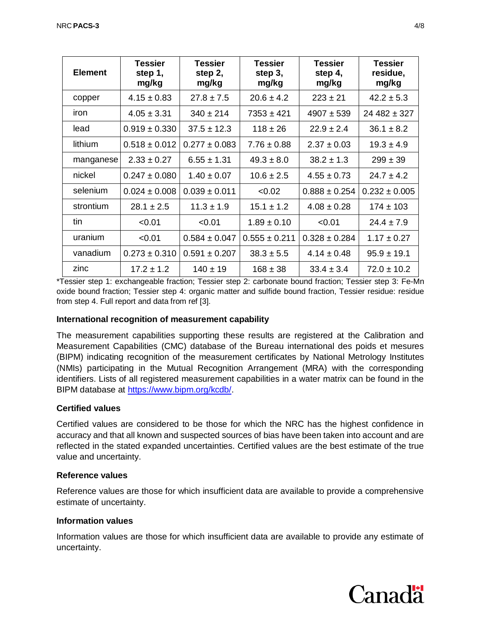| <b>Element</b> | Tessier<br>step 1,<br>mg/kg | <b>Tessier</b><br>step 2,<br>mg/kg | <b>Tessier</b><br>step 3,<br>mg/kg | <b>Tessier</b><br>step 4,<br>mg/kg | <b>Tessier</b><br>residue,<br>mg/kg |
|----------------|-----------------------------|------------------------------------|------------------------------------|------------------------------------|-------------------------------------|
| copper         | $4.15 \pm 0.83$             | $27.8 \pm 7.5$                     | $20.6 \pm 4.2$                     | $223 \pm 21$                       | $42.2 \pm 5.3$                      |
| iron           | $4.05 \pm 3.31$             | $340 \pm 214$                      | $7353 \pm 421$                     | $4907 + 539$                       | $24482 \pm 327$                     |
| lead           | $0.919 \pm 0.330$           | $37.5 \pm 12.3$                    | $118 \pm 26$                       | $22.9 \pm 2.4$                     | $36.1 \pm 8.2$                      |
| lithium        | $0.518 \pm 0.012$           | $0.277 \pm 0.083$                  | $7.76 \pm 0.88$                    | $2.37 \pm 0.03$                    | $19.3 \pm 4.9$                      |
| manganese      | $2.33 \pm 0.27$             | $6.55 \pm 1.31$                    | $49.3 \pm 8.0$                     | $38.2 \pm 1.3$                     | $299 \pm 39$                        |
| nickel         | $0.247 \pm 0.080$           | $1.40 \pm 0.07$                    | $10.6 \pm 2.5$                     | $4.55 \pm 0.73$                    | $24.7 \pm 4.2$                      |
| selenium       | $0.024 \pm 0.008$           | $0.039 \pm 0.011$                  | < 0.02                             | $0.888 \pm 0.254$                  | $0.232 \pm 0.005$                   |
| strontium      | $28.1 \pm 2.5$              | $11.3 \pm 1.9$                     | $15.1 \pm 1.2$                     | $4.08 \pm 0.28$                    | $174 \pm 103$                       |
| tin            | < 0.01                      | < 0.01                             | $1.89 \pm 0.10$                    | < 0.01                             | $24.4 \pm 7.9$                      |
| uranium        | < 0.01                      | $0.584 \pm 0.047$                  | $0.555 \pm 0.211$                  | $0.328 \pm 0.284$                  | $1.17 \pm 0.27$                     |
| vanadium       | $0.273 \pm 0.310$           | $0.591 \pm 0.207$                  | $38.3 \pm 5.5$                     | $4.14 \pm 0.48$                    | $95.9 \pm 19.1$                     |
| zinc           | $17.2 \pm 1.2$              | $140 \pm 19$                       | $168 \pm 38$                       | $33.4 \pm 3.4$                     | $72.0 \pm 10.2$                     |

\*Tessier step 1: exchangeable fraction; Tessier step 2: carbonate bound fraction; Tessier step 3: Fe-Mn oxide bound fraction; Tessier step 4: organic matter and sulfide bound fraction, Tessier residue: residue from step 4. Full report and data from ref [3].

#### **International recognition of measurement capability**

The measurement capabilities supporting these results are registered at the Calibration and Measurement Capabilities (CMC) database of the Bureau international des poids et mesures (BIPM) indicating recognition of the measurement certificates by National Metrology Institutes (NMIs) participating in the Mutual Recognition Arrangement (MRA) with the corresponding identifiers. Lists of all registered measurement capabilities in a water matrix can be found in the BIPM database at [https://www.bipm.org/kcdb/.](https://www.bipm.org/kcdb/)

#### **Certified values**

Certified values are considered to be those for which the NRC has the highest confidence in accuracy and that all known and suspected sources of bias have been taken into account and are reflected in the stated expanded uncertainties. Certified values are the best estimate of the true value and uncertainty.

#### **Reference values**

Reference values are those for which insufficient data are available to provide a comprehensive estimate of uncertainty.

#### **Information values**

Information values are those for which insufficient data are available to provide any estimate of uncertainty.

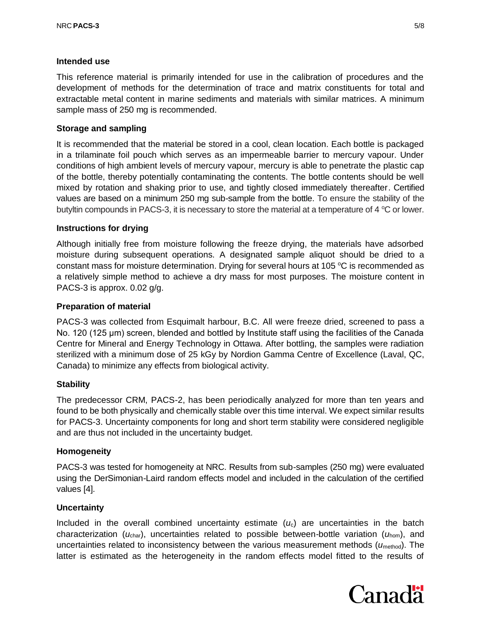#### **Intended use**

This reference material is primarily intended for use in the calibration of procedures and the development of methods for the determination of trace and matrix constituents for total and extractable metal content in marine sediments and materials with similar matrices. A minimum sample mass of 250 mg is recommended.

# **Storage and sampling**

It is recommended that the material be stored in a cool, clean location. Each bottle is packaged in a trilaminate foil pouch which serves as an impermeable barrier to mercury vapour. Under conditions of high ambient levels of mercury vapour, mercury is able to penetrate the plastic cap of the bottle, thereby potentially contaminating the contents. The bottle contents should be well mixed by rotation and shaking prior to use, and tightly closed immediately thereafter. Certified values are based on a minimum 250 mg sub-sample from the bottle. To ensure the stability of the butyltin compounds in PACS-3, it is necessary to store the material at a temperature of 4  $\rm{°C}$  or lower.

# **Instructions for drying**

Although initially free from moisture following the freeze drying, the materials have adsorbed moisture during subsequent operations. A designated sample aliquot should be dried to a constant mass for moisture determination. Drying for several hours at 105  $\degree$ C is recommended as a relatively simple method to achieve a dry mass for most purposes. The moisture content in PACS-3 is approx. 0.02 g/g.

#### **Preparation of material**

PACS-3 was collected from Esquimalt harbour, B.C. All were freeze dried, screened to pass a No. 120 (125 μm) screen, blended and bottled by Institute staff using the facilities of the Canada Centre for Mineral and Energy Technology in Ottawa. After bottling, the samples were radiation sterilized with a minimum dose of 25 kGy by Nordion Gamma Centre of Excellence (Laval, QC, Canada) to minimize any effects from biological activity.

#### **Stability**

The predecessor CRM, PACS-2, has been periodically analyzed for more than ten years and found to be both physically and chemically stable over this time interval. We expect similar results for PACS-3. Uncertainty components for long and short term stability were considered negligible and are thus not included in the uncertainty budget.

#### **Homogeneity**

PACS-3 was tested for homogeneity at NRC. Results from sub-samples (250 mg) were evaluated using the DerSimonian-Laird random effects model and included in the calculation of the certified values [4].

#### **Uncertainty**

Included in the overall combined uncertainty estimate  $(u<sub>c</sub>)$  are uncertainties in the batch characterization (*u*char), uncertainties related to possible between-bottle variation (*u*hom), and uncertainties related to inconsistency between the various measurement methods ( $u_{\text{method}}$ ). The latter is estimated as the heterogeneity in the random effects model fitted to the results of

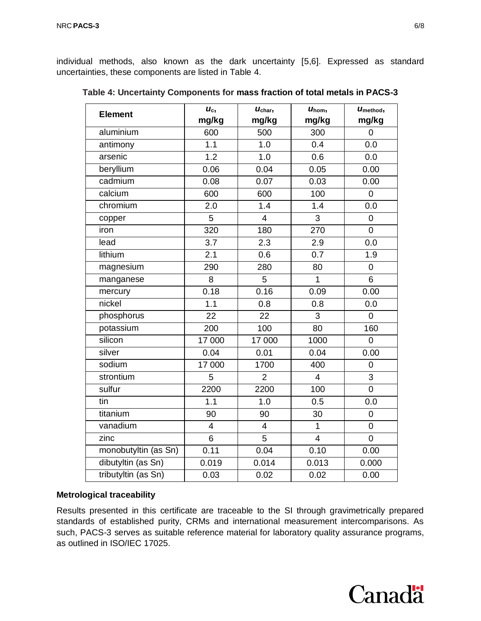individual methods, also known as the dark uncertainty [5,6]. Expressed as standard uncertainties, these components are listed in Table 4.

| <b>Element</b>       | $U_c$ ,<br>mg/kg | $U_{\rm char}$<br>mg/kg | $U_{\text{hom}}$<br>mg/kg | Umethod,<br>mg/kg |
|----------------------|------------------|-------------------------|---------------------------|-------------------|
| aluminium            | 600              | 500                     | 300                       | $\overline{0}$    |
| antimony             | 1.1              | 1.0                     | 0.4                       | 0.0               |
| arsenic              | 1.2              | 1.0                     | 0.6                       | 0.0               |
| beryllium            | 0.06             | 0.04                    | 0.05                      | 0.00              |
| cadmium              | 0.08             | 0.07                    | 0.03                      | 0.00              |
| calcium              | 600              | 600                     | 100                       | $\mathbf 0$       |
| chromium             | 2.0              | 1.4                     | 1.4                       | 0.0               |
| copper               | $\overline{5}$   | $\overline{4}$          | 3                         | $\mathbf 0$       |
| iron                 | 320              | 180                     | 270                       | $\overline{0}$    |
| lead                 | 3.7              | 2.3                     | 2.9                       | 0.0               |
| lithium              | 2.1              | 0.6                     | 0.7                       | 1.9               |
| magnesium            | 290              | 280                     | 80                        | $\mathbf 0$       |
| manganese            | 8                | 5                       | $\overline{1}$            | 6                 |
| mercury              | 0.18             | 0.16                    | 0.09                      | 0.00              |
| nickel               | 1.1              | 0.8                     | 0.8                       | 0.0               |
| phosphorus           | 22               | 22                      | 3                         | $\overline{0}$    |
| potassium            | 200              | 100                     | 80                        | 160               |
| silicon              | 17 000           | 17 000                  | 1000                      | $\mathbf 0$       |
| silver               | 0.04             | 0.01                    | 0.04                      | 0.00              |
| sodium               | 17 000           | 1700                    | 400                       | $\overline{0}$    |
| strontium            | 5                | $\overline{2}$          | $\overline{4}$            | 3                 |
| sulfur               | 2200             | 2200                    | 100                       | $\mathbf 0$       |
| tin                  | 1.1              | 1.0                     | 0.5                       | 0.0               |
| titanium             | 90               | 90                      | 30                        | $\mathbf 0$       |
| vanadium             | $\overline{4}$   | $\overline{4}$          | $\mathbf{1}$              | $\overline{0}$    |
| zinc                 | 6                | 5                       | $\overline{4}$            | $\overline{0}$    |
| monobutyltin (as Sn) | 0.11             | 0.04                    | 0.10                      | 0.00              |
| dibutyltin (as Sn)   | 0.019            | 0.014                   | 0.013                     | 0.000             |
| tributyltin (as Sn)  | 0.03             | 0.02                    | 0.02                      | 0.00              |

**Table 4: Uncertainty Components for mass fraction of total metals in PACS-3**

#### **Metrological traceability**

Results presented in this certificate are traceable to the SI through gravimetrically prepared standards of established purity, CRMs and international measurement intercomparisons. As such, PACS-3 serves as suitable reference material for laboratory quality assurance programs, as outlined in ISO/IEC 17025.

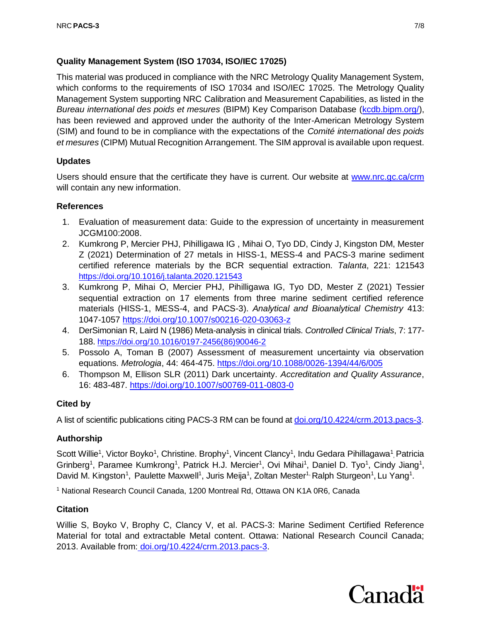# **Quality Management System (ISO 17034, ISO/IEC 17025)**

This material was produced in compliance with the NRC Metrology Quality Management System, which conforms to the requirements of ISO 17034 and ISO/IEC 17025. The Metrology Quality Management System supporting NRC Calibration and Measurement Capabilities, as listed in the *Bureau international des poids et mesures* (BIPM) Key Comparison Database [\(kcdb.bipm.org/\)](http://kcdb.bipm.org/), has been reviewed and approved under the authority of the Inter-American Metrology System (SIM) and found to be in compliance with the expectations of the *Comité international des poids et mesures* (CIPM) Mutual Recognition Arrangement. The SIM approval is available upon request.

# **Updates**

Users should ensure that the certificate they have is current. Our website at [www.nrc.gc.ca/crm](http://www.nrc.gc.ca/crm) will contain any new information.

# **References**

- 1. Evaluation of measurement data: Guide to the expression of uncertainty in measurement JCGM100:2008.
- 2. Kumkrong P, Mercier PHJ, Pihilligawa IG , Mihai O, Tyo DD, Cindy J, Kingston DM, Mester Z (2021) Determination of 27 metals in HISS-1, MESS-4 and PACS-3 marine sediment certified reference materials by the BCR sequential extraction. *Talanta*, 221: 121543 <https://doi.org/10.1016/j.talanta.2020.121543>
- 3. Kumkrong P, Mihai O, Mercier PHJ, Pihilligawa IG, Tyo DD, Mester Z (2021) Tessier sequential extraction on 17 elements from three marine sediment certified reference materials (HISS-1, MESS-4, and PACS-3). *Analytical and Bioanalytical Chemistry* 413: 1047-1057<https://doi.org/10.1007/s00216-020-03063-z>
- 4. DerSimonian R, Laird N (1986) Meta-analysis in clinical trials. *Controlled Clinical Trials*, 7: 177- 188. [https://doi.org/10.1016/0197-2456\(86\)90046-2](https://doi.org/10.1016/0197-2456(86)90046-2)
- 5. Possolo A, Toman B (2007) Assessment of measurement uncertainty via observation equations. *Metrologia*, 44: 464-475. <https://doi.org/10.1088/0026-1394/44/6/005>
- 6. Thompson M, Ellison SLR (2011) Dark uncertainty. *Accreditation and Quality Assurance*, 16: 483-487. <https://doi.org/10.1007/s00769-011-0803-0>

# **Cited by**

A list of scientific publications citing PACS-3 RM can be found a[t doi.org/10.4224/crm.2013.pacs-3.](https://doi.org/10.4224/crm.2013.pacs-3)

#### **Authorship**

Scott Willie<sup>1</sup>, Victor Boyko<sup>1</sup>, Christine. Brophy<sup>1</sup>, Vincent Clancy<sup>1</sup>, Indu Gedara Pihillagawa<sup>1</sup>, Patricia Grinberg<sup>1</sup>, Paramee Kumkrong<sup>1</sup>, Patrick H.J. Mercier<sup>1</sup>, Ovi Mihai<sup>1</sup>, Daniel D. Tyo<sup>1</sup>, Cindy Jiang<sup>1</sup>, David M. Kingston<sup>1</sup>, Paulette Maxwell<sup>1</sup>, Juris Meija<sup>1</sup>, Zoltan Mester<sup>1,</sup> Ralph Sturgeon<sup>1</sup>, Lu Yang<sup>1</sup>.

<sup>1</sup> National Research Council Canada, 1200 Montreal Rd, Ottawa ON K1A 0R6, Canada

#### **Citation**

Willie S, Boyko V, Brophy C, Clancy V, et al. PACS-3: Marine Sediment Certified Reference Material for total and extractable Metal content. Ottawa: National Research Council Canada; 2013. Available from: [doi.org/10.4224/crm.2013.pacs-3.](https://doi.org/10.4224/crm.2013.pacs-3)